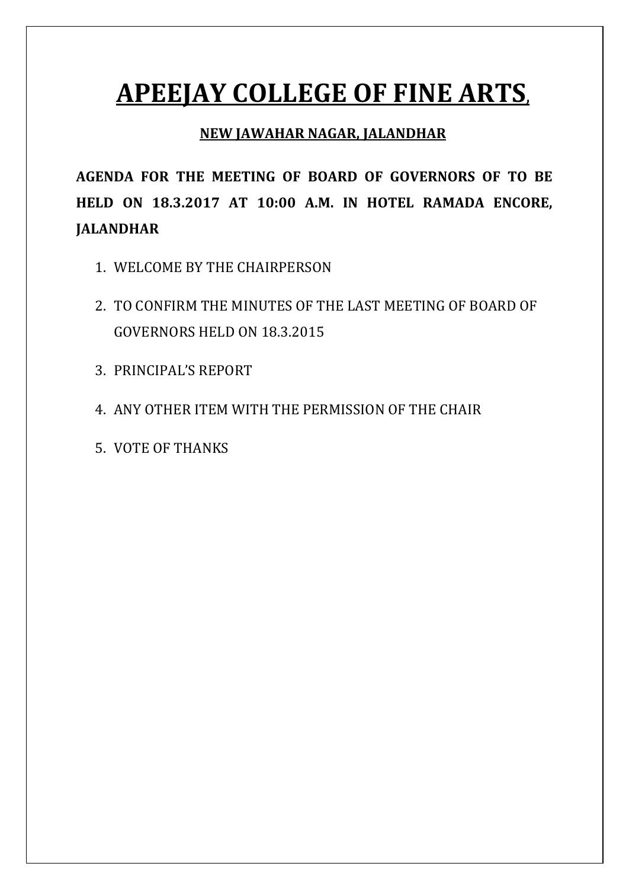# **APEEJAY COLLEGE OF FINE ARTS,**

### **NEW JAWAHAR NAGAR, JALANDHAR**

**AGENDA FOR THE MEETING OF BOARD OF GOVERNORS OF TO BE HELD ON 18.3.2017 AT 10:00 A.M. IN HOTEL RAMADA ENCORE, JALANDHAR** 

- 1. WELCOME BY THE CHAIRPERSON
- 2. TO CONFIRM THE MINUTES OF THE LAST MEETING OF BOARD OF GOVERNORS HELD ON 18.3.2015
- 3. PRINCIPAL'S REPORT
- 4. ANY OTHER ITEM WITH THE PERMISSION OF THE CHAIR
- 5. VOTE OF THANKS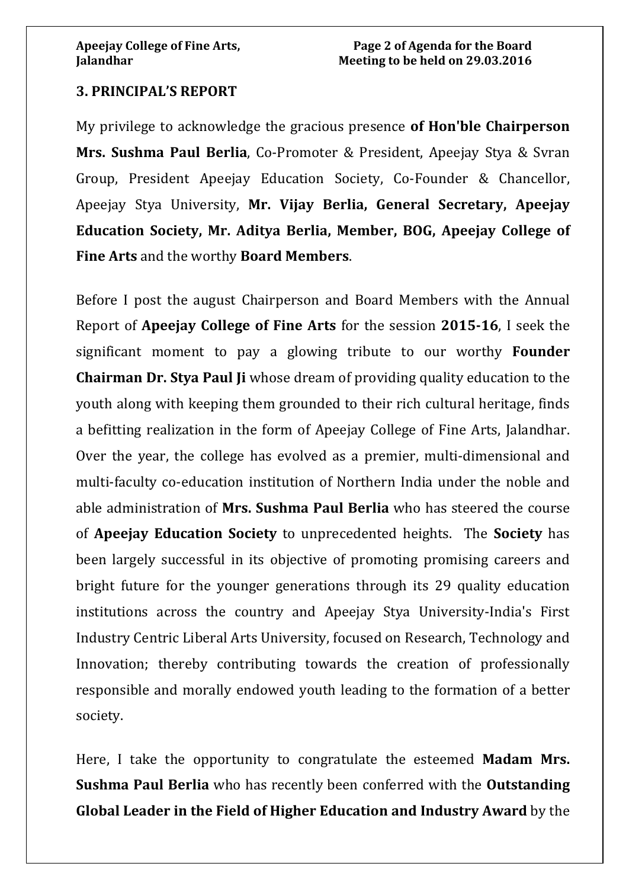### **3. PRINCIPAL'S REPORT**

My privilege to acknowledge the gracious presence **of Hon'ble Chairperson Mrs. Sushma Paul Berlia**, Co-Promoter & President, Apeejay Stya & Svran Group, President Apeejay Education Society, Co-Founder & Chancellor, Apeejay Stya University, **Mr. Vijay Berlia, General Secretary, Apeejay Education Society, Mr. Aditya Berlia, Member, BOG, Apeejay College of Fine Arts** and the worthy **Board Members**.

Before I post the august Chairperson and Board Members with the Annual Report of **Apeejay College of Fine Arts** for the session **2015-16**, I seek the significant moment to pay a glowing tribute to our worthy **Founder Chairman Dr. Stya Paul Ji** whose dream of providing quality education to the youth along with keeping them grounded to their rich cultural heritage, finds a befitting realization in the form of Apeejay College of Fine Arts, Jalandhar. Over the year, the college has evolved as a premier, multi-dimensional and multi-faculty co-education institution of Northern India under the noble and able administration of **Mrs. Sushma Paul Berlia** who has steered the course of **Apeejay Education Society** to unprecedented heights. The **Society** has been largely successful in its objective of promoting promising careers and bright future for the younger generations through its 29 quality education institutions across the country and Apeejay Stya University-India's First Industry Centric Liberal Arts University, focused on Research, Technology and Innovation; thereby contributing towards the creation of professionally responsible and morally endowed youth leading to the formation of a better society.

Here, I take the opportunity to congratulate the esteemed **Madam Mrs. Sushma Paul Berlia** who has recently been conferred with the **Outstanding Global Leader in the Field of Higher Education and Industry Award** by the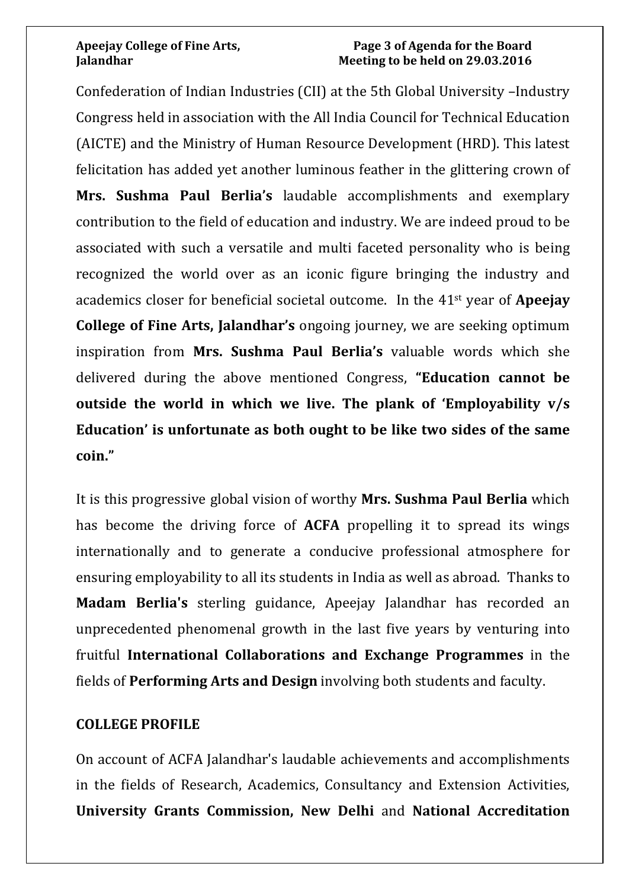### **Apeejay College of Fine Arts, Page 3 of Agenda for the Board Jalandhar Meeting to be held on 29.03.2016**

Confederation of Indian Industries (CII) at the 5th Global University –Industry Congress held in association with the All India Council for Technical Education (AICTE) and the Ministry of Human Resource Development (HRD). This latest felicitation has added yet another luminous feather in the glittering crown of **Mrs. Sushma Paul Berlia's** laudable accomplishments and exemplary contribution to the field of education and industry. We are indeed proud to be associated with such a versatile and multi faceted personality who is being recognized the world over as an iconic figure bringing the industry and academics closer for beneficial societal outcome. In the 41st year of **Apeejay College of Fine Arts, Jalandhar's** ongoing journey, we are seeking optimum inspiration from **Mrs. Sushma Paul Berlia's** valuable words which she delivered during the above mentioned Congress, **"Education cannot be outside the world in which we live. The plank of 'Employability v/s Education' is unfortunate as both ought to be like two sides of the same coin."**

It is this progressive global vision of worthy **Mrs. Sushma Paul Berlia** which has become the driving force of **ACFA** propelling it to spread its wings internationally and to generate a conducive professional atmosphere for ensuring employability to all its students in India as well as abroad. Thanks to **Madam Berlia's** sterling guidance, Apeejay Jalandhar has recorded an unprecedented phenomenal growth in the last five years by venturing into fruitful **International Collaborations and Exchange Programmes** in the fields of **Performing Arts and Design** involving both students and faculty.

### **COLLEGE PROFILE**

On account of ACFA Jalandhar's laudable achievements and accomplishments in the fields of Research, Academics, Consultancy and Extension Activities, **University Grants Commission, New Delhi** and **National Accreditation**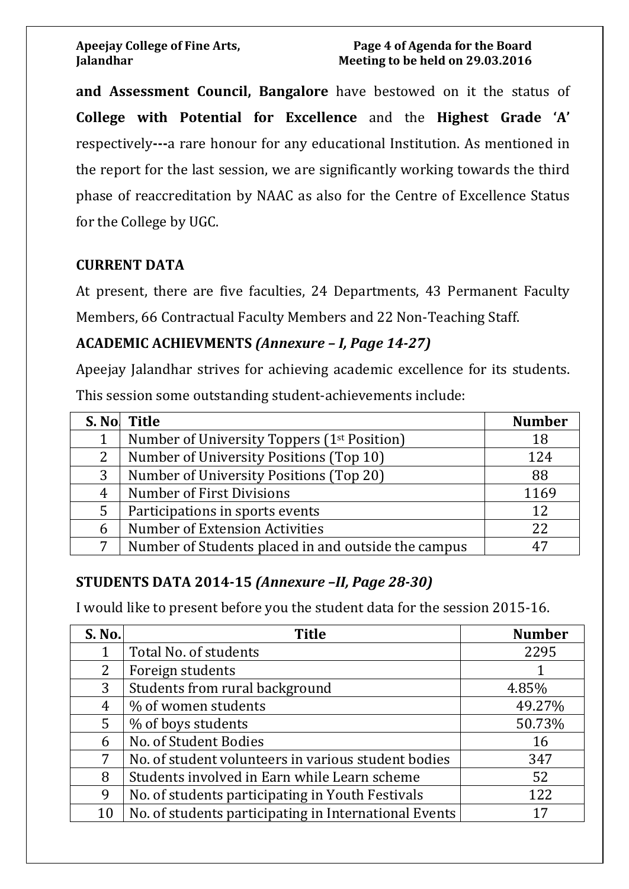**and Assessment Council, Bangalore** have bestowed on it the status of **College with Potential for Excellence** and the **Highest Grade 'A'**  respectively**---**a rare honour for any educational Institution. As mentioned in the report for the last session, we are significantly working towards the third phase of reaccreditation by NAAC as also for the Centre of Excellence Status for the College by UGC.

### **CURRENT DATA**

At present, there are five faculties, 24 Departments, 43 Permanent Faculty Members, 66 Contractual Faculty Members and 22 Non-Teaching Staff.

### **ACADEMIC ACHIEVMENTS** *(Annexure – I, Page 14-27)*

Apeejay Jalandhar strives for achieving academic excellence for its students. This session some outstanding student-achievements include:

|   | S. No. Title                                            | <b>Number</b> |
|---|---------------------------------------------------------|---------------|
|   | Number of University Toppers (1 <sup>st</sup> Position) | 18            |
| 2 | Number of University Positions (Top 10)                 | 124           |
| 3 | Number of University Positions (Top 20)                 | 88            |
| 4 | <b>Number of First Divisions</b>                        | 1169          |
| 5 | Participations in sports events                         | 12            |
| 6 | Number of Extension Activities                          | 22            |
| 7 | Number of Students placed in and outside the campus     | 47            |

## **STUDENTS DATA 2014-15** *(Annexure –II, Page 28-30)*

I would like to present before you the student data for the session 2015-16.

| S. No.      | <b>Title</b>                                          | <b>Number</b> |
|-------------|-------------------------------------------------------|---------------|
|             | Total No. of students                                 | 2295          |
| 2           | Foreign students                                      |               |
| 3           | Students from rural background                        | 4.85%         |
| 4           | % of women students                                   | 49.27%        |
| $5^{\circ}$ | % of boys students                                    | 50.73%        |
| 6           | No. of Student Bodies                                 | 16            |
| 7           | No. of student volunteers in various student bodies   | 347           |
| 8           | Students involved in Earn while Learn scheme          | 52            |
| 9           | No. of students participating in Youth Festivals      | 122           |
| 10          | No. of students participating in International Events | 17            |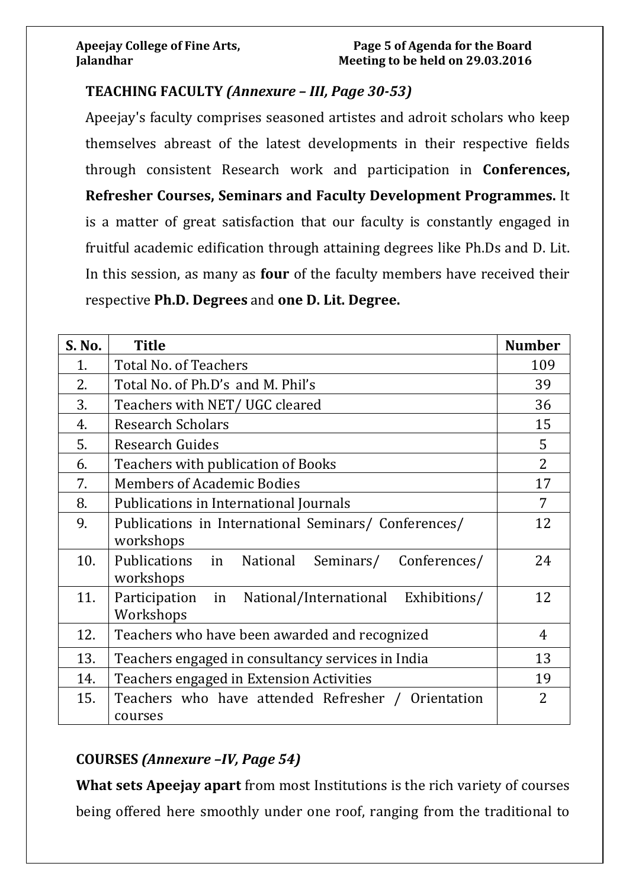### **TEACHING FACULTY** *(Annexure – III, Page 30-53)*

Apeejay's faculty comprises seasoned artistes and adroit scholars who keep themselves abreast of the latest developments in their respective fields through consistent Research work and participation in **Conferences, Refresher Courses, Seminars and Faculty Development Programmes.** It is a matter of great satisfaction that our faculty is constantly engaged in fruitful academic edification through attaining degrees like Ph.Ds and D. Lit. In this session, as many as **four** of the faculty members have received their respective **Ph.D. Degrees** and **one D. Lit. Degree.**

| S. No. | <b>Title</b>                                                            | <b>Number</b>  |
|--------|-------------------------------------------------------------------------|----------------|
| 1.     | <b>Total No. of Teachers</b>                                            | 109            |
| 2.     | Total No. of Ph.D's and M. Phil's                                       | 39             |
| 3.     | Teachers with NET/UGC cleared                                           | 36             |
| 4.     | <b>Research Scholars</b>                                                | 15             |
| 5.     | <b>Research Guides</b>                                                  | 5              |
| 6.     | Teachers with publication of Books                                      | $\overline{2}$ |
| 7.     | <b>Members of Academic Bodies</b>                                       | 17             |
| 8.     | Publications in International Journals                                  | 7              |
| 9.     | Publications in International Seminars/ Conferences/<br>workshops       | 12             |
| 10.    | Publications in<br>Seminars/<br>Conferences/<br>National<br>workshops   | 24             |
| 11.    | National/International Exhibitions/<br>Participation<br>in<br>Workshops | 12             |
| 12.    | Teachers who have been awarded and recognized                           | 4              |
| 13.    | Teachers engaged in consultancy services in India                       | 13             |
| 14.    | Teachers engaged in Extension Activities                                | 19             |
| 15.    | Teachers who have attended Refresher / Orientation<br>courses           | 2              |

## **COURSES** *(Annexure –IV, Page 54)*

**What sets Apeejay apart** from most Institutions is the rich variety of courses being offered here smoothly under one roof, ranging from the traditional to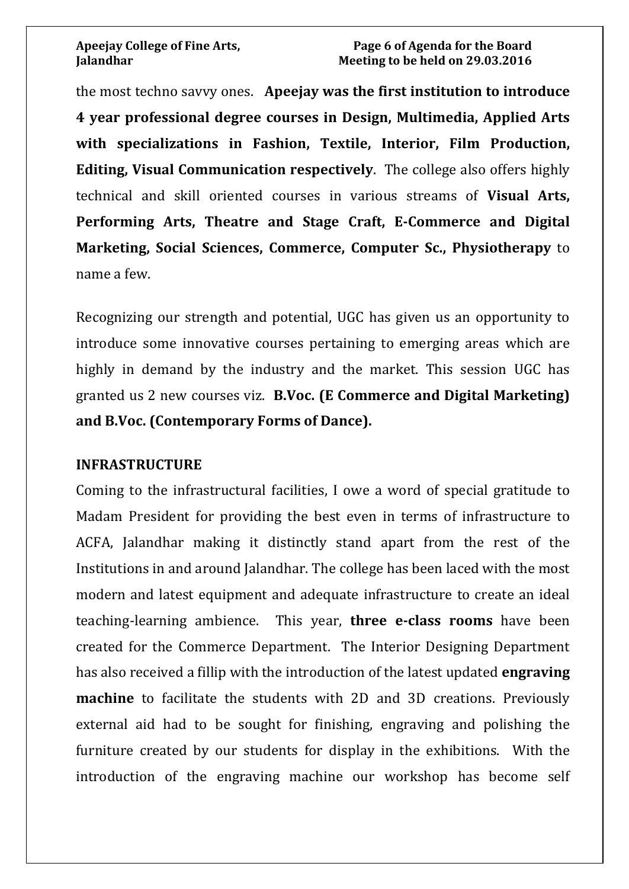the most techno savvy ones. **Apeejay was the first institution to introduce 4 year professional degree courses in Design, Multimedia, Applied Arts with specializations in Fashion, Textile, Interior, Film Production, Editing, Visual Communication respectively**. The college also offers highly technical and skill oriented courses in various streams of **Visual Arts, Performing Arts, Theatre and Stage Craft, E-Commerce and Digital Marketing, Social Sciences, Commerce, Computer Sc., Physiotherapy** to name a few.

Recognizing our strength and potential, UGC has given us an opportunity to introduce some innovative courses pertaining to emerging areas which are highly in demand by the industry and the market. This session UGC has granted us 2 new courses viz. **B.Voc. (E Commerce and Digital Marketing) and B.Voc. (Contemporary Forms of Dance).**

### **INFRASTRUCTURE**

Coming to the infrastructural facilities, I owe a word of special gratitude to Madam President for providing the best even in terms of infrastructure to ACFA, Jalandhar making it distinctly stand apart from the rest of the Institutions in and around Jalandhar. The college has been laced with the most modern and latest equipment and adequate infrastructure to create an ideal teaching-learning ambience. This year, **three e-class rooms** have been created for the Commerce Department. The Interior Designing Department has also received a fillip with the introduction of the latest updated **engraving machine** to facilitate the students with 2D and 3D creations. Previously external aid had to be sought for finishing, engraving and polishing the furniture created by our students for display in the exhibitions. With the introduction of the engraving machine our workshop has become self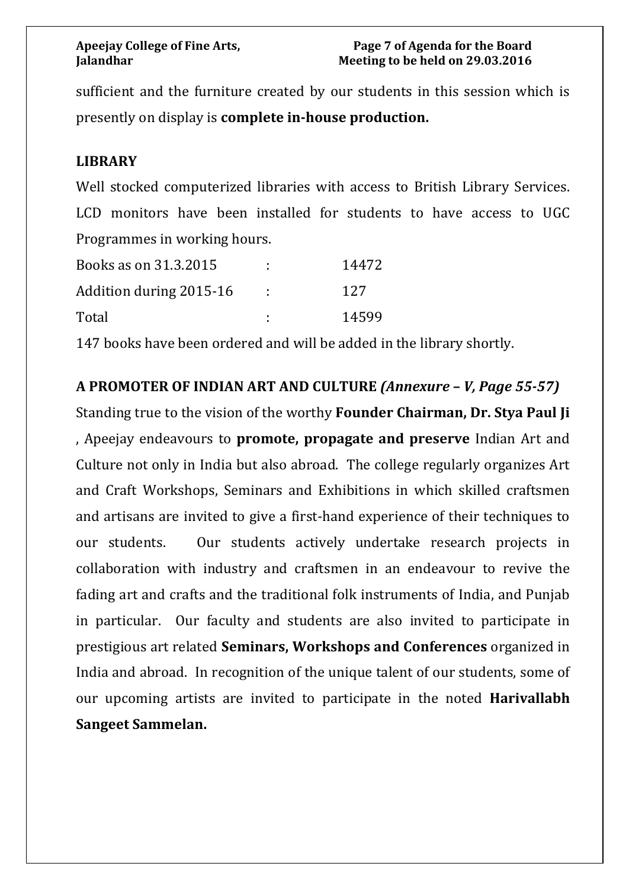sufficient and the furniture created by our students in this session which is presently on display is **complete in-house production.**

### **LIBRARY**

Well stocked computerized libraries with access to British Library Services. LCD monitors have been installed for students to have access to UGC Programmes in working hours.

| Books as on 31.3.2015   | 14472 |
|-------------------------|-------|
| Addition during 2015-16 | 127   |
| Total                   | 14599 |

147 books have been ordered and will be added in the library shortly.

**A PROMOTER OF INDIAN ART AND CULTURE** *(Annexure – V, Page 55-57)*

Standing true to the vision of the worthy **Founder Chairman, Dr. Stya Paul Ji** , Apeejay endeavours to **promote, propagate and preserve** Indian Art and Culture not only in India but also abroad. The college regularly organizes Art and Craft Workshops, Seminars and Exhibitions in which skilled craftsmen and artisans are invited to give a first-hand experience of their techniques to our students. Our students actively undertake research projects in collaboration with industry and craftsmen in an endeavour to revive the fading art and crafts and the traditional folk instruments of India, and Punjab in particular. Our faculty and students are also invited to participate in prestigious art related **Seminars, Workshops and Conferences** organized in India and abroad. In recognition of the unique talent of our students, some of our upcoming artists are invited to participate in the noted **Harivallabh Sangeet Sammelan.**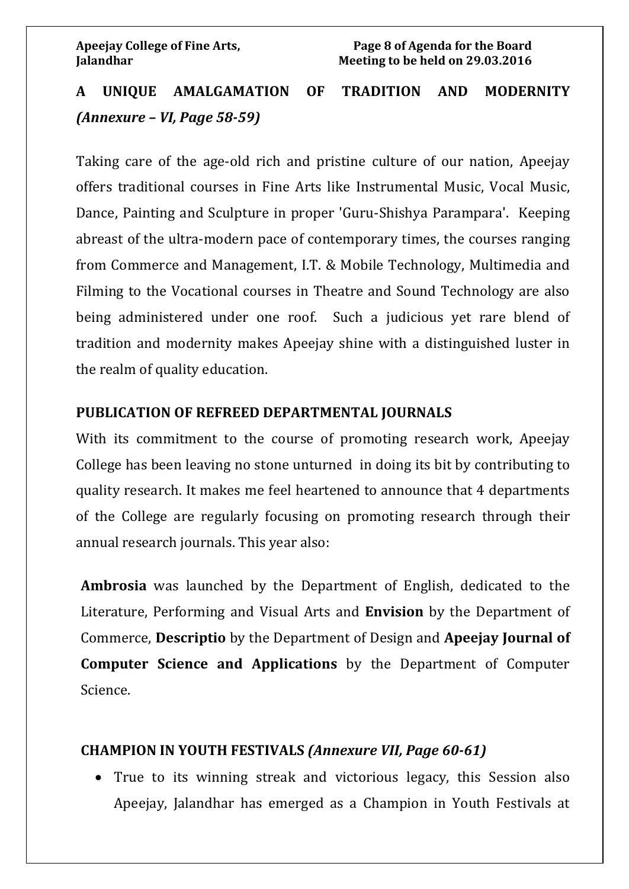# **A UNIQUE AMALGAMATION OF TRADITION AND MODERNITY**  *(Annexure – VI, Page 58-59)*

Taking care of the age-old rich and pristine culture of our nation, Apeejay offers traditional courses in Fine Arts like Instrumental Music, Vocal Music, Dance, Painting and Sculpture in proper 'Guru-Shishya Parampara'. Keeping abreast of the ultra-modern pace of contemporary times, the courses ranging from Commerce and Management, I.T. & Mobile Technology, Multimedia and Filming to the Vocational courses in Theatre and Sound Technology are also being administered under one roof. Such a judicious yet rare blend of tradition and modernity makes Apeejay shine with a distinguished luster in the realm of quality education.

### **PUBLICATION OF REFREED DEPARTMENTAL JOURNALS**

With its commitment to the course of promoting research work, Apeejay College has been leaving no stone unturned in doing its bit by contributing to quality research. It makes me feel heartened to announce that 4 departments of the College are regularly focusing on promoting research through their annual research journals. This year also:

**Ambrosia** was launched by the Department of English, dedicated to the Literature, Performing and Visual Arts and **Envision** by the Department of Commerce, **Descriptio** by the Department of Design and **Apeejay Journal of Computer Science and Applications** by the Department of Computer Science.

### **CHAMPION IN YOUTH FESTIVALS** *(Annexure VII, Page 60-61)*

• True to its winning streak and victorious legacy, this Session also Apeejay, Jalandhar has emerged as a Champion in Youth Festivals at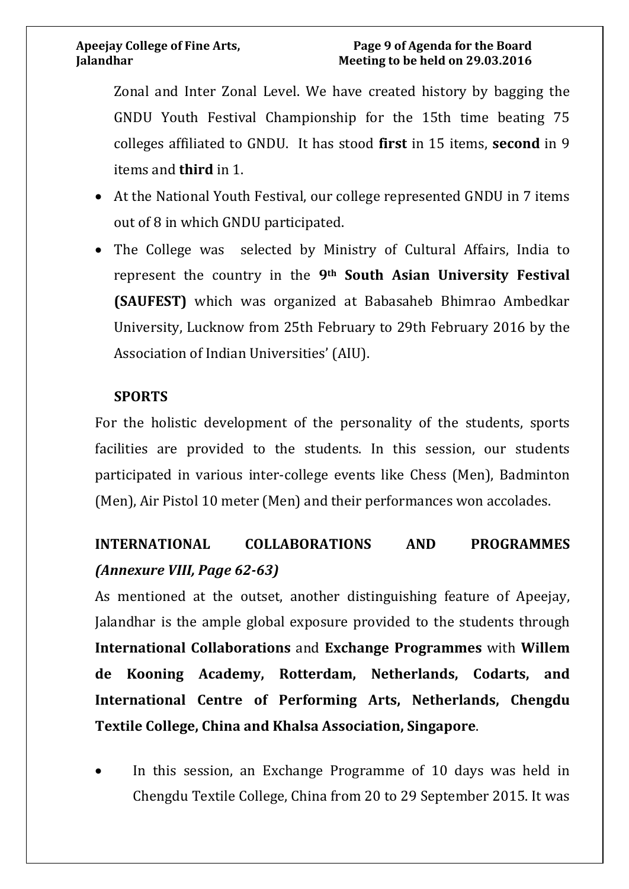Zonal and Inter Zonal Level. We have created history by bagging the GNDU Youth Festival Championship for the 15th time beating 75 colleges affiliated to GNDU. It has stood **first** in 15 items, **second** in 9 items and **third** in 1.

- At the National Youth Festival, our college represented GNDU in 7 items out of 8 in which GNDU participated.
- The College was selected by Ministry of Cultural Affairs, India to represent the country in the **9th South Asian University Festival (SAUFEST)** which was organized at Babasaheb Bhimrao Ambedkar University, Lucknow from 25th February to 29th February 2016 by the Association of Indian Universities' (AIU).

### **SPORTS**

For the holistic development of the personality of the students, sports facilities are provided to the students. In this session, our students participated in various inter-college events like Chess (Men), Badminton (Men), Air Pistol 10 meter (Men) and their performances won accolades.

# **INTERNATIONAL COLLABORATIONS AND PROGRAMMES**  *(Annexure VIII, Page 62-63)*

As mentioned at the outset, another distinguishing feature of Apeejay, Jalandhar is the ample global exposure provided to the students through **International Collaborations** and **Exchange Programmes** with **Willem de Kooning Academy, Rotterdam, Netherlands, Codarts, and International Centre of Performing Arts, Netherlands, Chengdu Textile College, China and Khalsa Association, Singapore**.

In this session, an Exchange Programme of 10 days was held in Chengdu Textile College, China from 20 to 29 September 2015. It was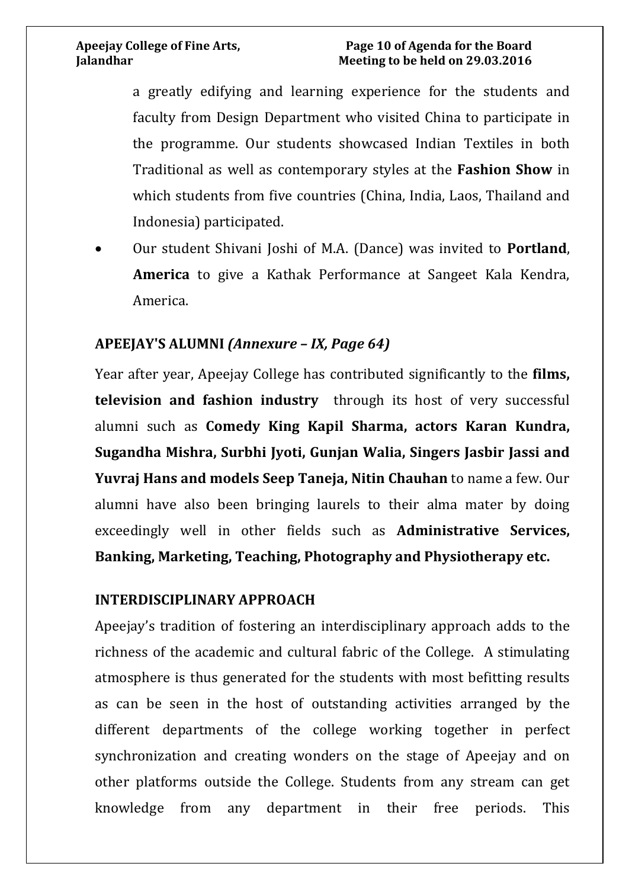### **Apeejay College of Fine Arts, Page 10 of Agenda for the Board Jalandhar Meeting to be held on 29.03.2016**

a greatly edifying and learning experience for the students and faculty from Design Department who visited China to participate in the programme. Our students showcased Indian Textiles in both Traditional as well as contemporary styles at the **Fashion Show** in which students from five countries (China, India, Laos, Thailand and Indonesia) participated.

• Our student Shivani Joshi of M.A. (Dance) was invited to **Portland**, **America** to give a Kathak Performance at Sangeet Kala Kendra, America.

### **APEEJAY'S ALUMNI** *(Annexure – IX, Page 64)*

Year after year, Apeejay College has contributed significantly to the **films, television and fashion industry** through its host of very successful alumni such as **Comedy King Kapil Sharma, actors Karan Kundra, Sugandha Mishra, Surbhi Jyoti, Gunjan Walia, Singers Jasbir Jassi and Yuvraj Hans and models Seep Taneja, Nitin Chauhan** to name a few. Our alumni have also been bringing laurels to their alma mater by doing exceedingly well in other fields such as **Administrative Services, Banking, Marketing, Teaching, Photography and Physiotherapy etc.**

### **INTERDISCIPLINARY APPROACH**

Apeejay's tradition of fostering an interdisciplinary approach adds to the richness of the academic and cultural fabric of the College. A stimulating atmosphere is thus generated for the students with most befitting results as can be seen in the host of outstanding activities arranged by the different departments of the college working together in perfect synchronization and creating wonders on the stage of Apeejay and on other platforms outside the College. Students from any stream can get knowledge from any department in their free periods. This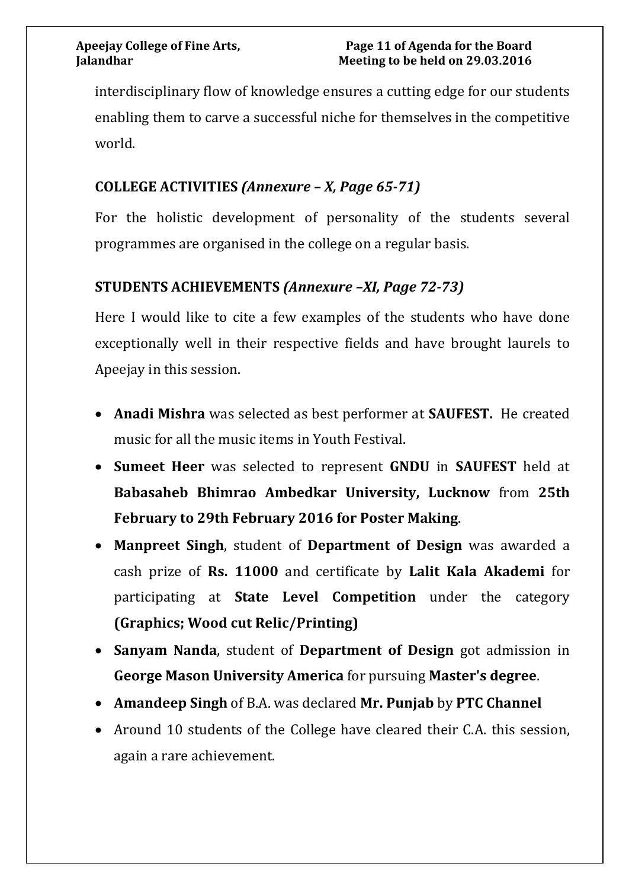interdisciplinary flow of knowledge ensures a cutting edge for our students enabling them to carve a successful niche for themselves in the competitive world.

## **COLLEGE ACTIVITIES** *(Annexure – X, Page 65-71)*

For the holistic development of personality of the students several programmes are organised in the college on a regular basis.

# **STUDENTS ACHIEVEMENTS** *(Annexure –XI, Page 72-73)*

Here I would like to cite a few examples of the students who have done exceptionally well in their respective fields and have brought laurels to Apeejay in this session.

- **Anadi Mishra** was selected as best performer at **SAUFEST.** He created music for all the music items in Youth Festival.
- **Sumeet Heer** was selected to represent **GNDU** in **SAUFEST** held at **Ba[basaheb Bhimrao Ambedkar University, Lucknow](http://www.bbau.ac.in/)** from **25th February to 29th February 2016 for Poster Making**.
- **Manpreet Singh**, student of **Department of Design** was awarded a cash prize of **Rs. 11000** and certificate by **Lalit Kala Akademi** for participating at **State Level Competition** under the category **(Graphics; Wood cut Relic/Printing)**
- **Sanyam Nanda**, student of **Department of Design** got admission in **George Mason University America** for pursuing **Master's degree**.
- **Amandeep Singh** of B.A. was declared **Mr. Punjab** by **PTC Channel**
- Around 10 students of the College have cleared their C.A. this session, again a rare achievement.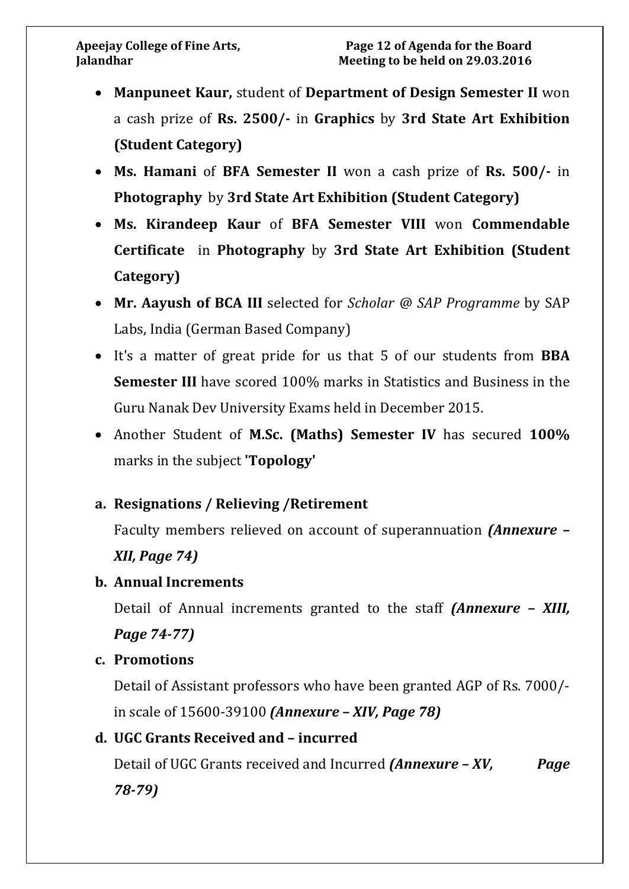- **Manpuneet Kaur,** student of **Department of Design Semester II** won a cash prize of **Rs. 2500/-** in **Graphics** by **3rd State Art Exhibition (Student Category)**
- **Ms. Hamani** of **BFA Semester II** won a cash prize of **Rs. 500/-** in **Photography** by **3rd State Art Exhibition (Student Category)**
- **Ms. Kirandeep Kaur** of **BFA Semester VIII** won **Commendable Certificate** in **Photography** by **3rd State Art Exhibition (Student Category)**
- **Mr. Aayush of BCA III** selected for *Scholar @ SAP Programme* by SAP Labs, India (German Based Company)
- It's a matter of great pride for us that 5 of our students from **BBA Semester III** have scored 100% marks in Statistics and Business in the Guru Nanak Dev University Exams held in December 2015.
- Another Student of **M.Sc. (Maths) Semester IV** has secured **100%** marks in the subject **'Topology'**

# **a. Resignations / Relieving /Retirement**

Faculty members relieved on account of superannuation *(Annexure –*

## *XII, Page 74)*

### **b. Annual Increments**

Detail of Annual increments granted to the staff *(Annexure – XIII, Page 74-77)*

### **c. Promotions**

Detail of Assistant professors who have been granted AGP of Rs. 7000/ in scale of 15600-39100 *(Annexure – XIV, Page 78)*

## **d. UGC Grants Received and – incurred**

Detail of UGC Grants received and Incurred *(Annexure – XV, Page 78-79)*